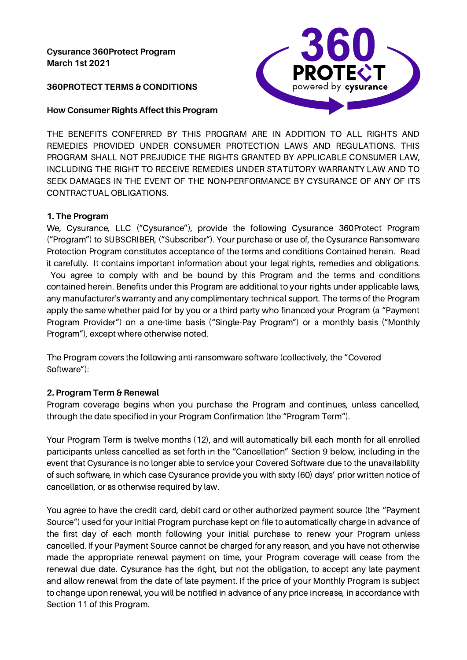## **Cysurance 360Protect Program March 1st 2021**

### **360PROTECT TERMS & CONDITIONS**

#### **How Consumer Rights Affect this Program**



THE BENEFITS CONFERRED BY THIS PROGRAM ARE IN ADDITION TO ALL RIGHTS AND REMEDIES PROVIDED UNDER CONSUMER PROTECTION LAWS AND REGULATIONS. THIS PROGRAM SHALL NOT PREJUDICE THE RIGHTS GRANTED BY APPLICABLE CONSUMER LAW, INCLUDING THE RIGHT TO RECEIVE REMEDIES UNDER STATUTORY WARRANTY LAW AND TO SEEK DAMAGES IN THE EVENT OF THE NON-PERFORMANCE BY CYSURANCE OF ANY OF ITS CONTRACTUAL OBLIGATIONS.

#### **1. The Program**

We, Cysurance, LLC ("Cysurance"), provide the following Cysurance 360Protect Program ("Program") to SUBSCRIBER, ("Subscriber"). Your purchase or use of, the Cysurance Ransomware Protection Program constitutes acceptance of the terms and conditions Contained herein. Read it carefully. It contains important information about your legal rights, remedies and obligations. You agree to comply with and be bound by this Program and the terms and conditions contained herein. Benefits under this Program are additional to your rights under applicable laws, any manufacturer's warranty and any complimentary technical support. The terms of the Program apply the same whether paid for by you or a third party who financed your Program (a "Payment Program Provider") on a one-time basis ("Single-Pay Program") or a monthly basis ("Monthly Program"), except where otherwise noted.

The Program covers the following anti-ransomware software (collectively, the "Covered Software"):

## **2. Program Term & Renewal**

Program coverage begins when you purchase the Program and continues, unless cancelled, through the date specified in your Program Confirmation (the "Program Term").

Your Program Term is twelve months (12), and will automatically bill each month for all enrolled participants unless cancelled as set forth in the "Cancellation" Section 9 below, including in the event that Cysurance is no longer able to service your Covered Software due to the unavailability of such software, in which case Cysurance provide you with sixty (60) days' prior written notice of cancellation, or as otherwise required by law.

You agree to have the credit card, debit card or other authorized payment source (the "Payment Source") used for your initial Program purchase kept on file to automatically charge in advance of the first day of each month following your initial purchase to renew your Program unless cancelled. If your Payment Source cannot be charged for any reason, and you have not otherwise made the appropriate renewal payment on time, your Program coverage will cease from the renewal due date. Cysurance has the right, but not the obligation, to accept any late payment and allow renewal from the date of late payment. If the price of your Monthly Program is subject to change upon renewal, you will be notified in advance of any price increase, in accordance with Section 11 of this Program.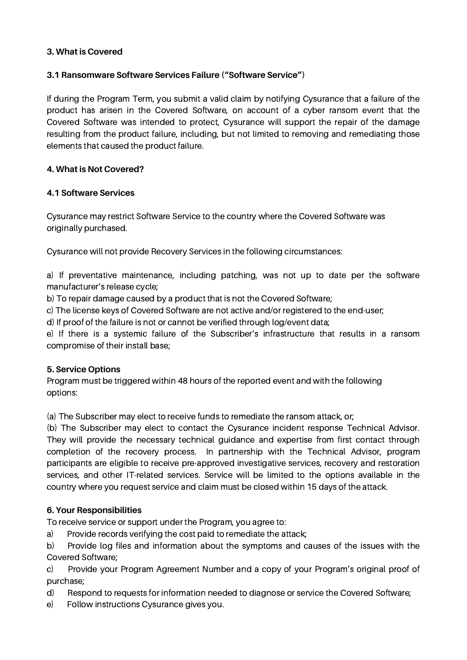#### **3. What is Covered**

### **3.1 Ransomware Software Services Failure ("Software Service")**

If during the Program Term, you submit a valid claim by notifying Cysurance that a failure of the product has arisen in the Covered Software, on account of a cyber ransom event that the Covered Software was intended to protect, Cysurance will support the repair of the damage resulting from the product failure, including, but not limited to removing and remediating those elements that caused the product failure.

#### **4. What is Not Covered?**

#### **4.1 Software Services**

Cysurance may restrict Software Service to the country where the Covered Software was originally purchased.

Cysurance will not provide Recovery Services in the following circumstances:

a) If preventative maintenance, including patching, was not up to date per the software manufacturer's release cycle;

b) To repair damage caused by a product that is not the Covered Software;

c) The license keys of Covered Software are not active and/or registered to the end-user;

d) If proof of the failure is not or cannot be verified through log/event data;

e) If there is a systemic failure of the Subscriber's infrastructure that results in a ransom compromise of their install base;

## **5. Service Options**

Program must be triggered within 48 hours of the reported event and with the following options:

(a) The Subscriber may elect to receive funds to remediate the ransom attack, or;

(b) The Subscriber may elect to contact the Cysurance incident response Technical Advisor. They will provide the necessary technical guidance and expertise from first contact through completion of the recovery process. In partnership with the Technical Advisor, program participants are eligible to receive pre-approved investigative services, recovery and restoration services, and other IT-related services. Service will be limited to the options available in the country where you request service and claim must be closed within 15 days of the attack.

## **6. Your Responsibilities**

To receive service or support under the Program, you agree to:

a) Provide records verifying the cost paid to remediate the attack;

b) Provide log files and information about the symptoms and causes of the issues with the Covered Software;

c) Provide your Program Agreement Number and a copy of your Program's original proof of purchase;

d) Respond to requests for information needed to diagnose or service the Covered Software;

e) Follow instructions Cysurance gives you.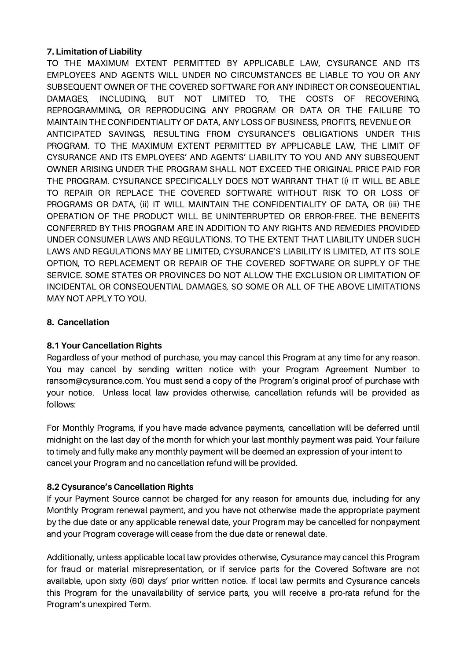## **7. Limitation of Liability**

TO THE MAXIMUM EXTENT PERMITTED BY APPLICABLE LAW, CYSURANCE AND ITS EMPLOYEES AND AGENTS WILL UNDER NO CIRCUMSTANCES BE LIABLE TO YOU OR ANY SUBSEQUENT OWNER OF THE COVERED SOFTWARE FOR ANY INDIRECT OR CONSEQUENTIAL DAMAGES, INCLUDING, BUT NOT LIMITED TO, THE COSTS OF RECOVERING, REPROGRAMMING, OR REPRODUCING ANY PROGRAM OR DATA OR THE FAILURE TO MAINTAIN THE CONFIDENTIALITY OF DATA, ANY LOSS OF BUSINESS, PROFITS, REVENUE OR ANTICIPATED SAVINGS, RESULTING FROM CYSURANCE'S OBLIGATIONS UNDER THIS PROGRAM. TO THE MAXIMUM EXTENT PERMITTED BY APPLICABLE LAW, THE LIMIT OF CYSURANCE AND ITS EMPLOYEES' AND AGENTS' LIABILITY TO YOU AND ANY SUBSEQUENT OWNER ARISING UNDER THE PROGRAM SHALL NOT EXCEED THE ORIGINAL PRICE PAID FOR THE PROGRAM. CYSURANCE SPECIFICALLY DOES NOT WARRANT THAT (i) IT WILL BE ABLE TO REPAIR OR REPLACE THE COVERED SOFTWARE WITHOUT RISK TO OR LOSS OF PROGRAMS OR DATA, (ii) IT WILL MAINTAIN THE CONFIDENTIALITY OF DATA, OR (iii) THE OPERATION OF THE PRODUCT WILL BE UNINTERRUPTED OR ERROR-FREE. THE BENEFITS CONFERRED BY THIS PROGRAM ARE IN ADDITION TO ANY RIGHTS AND REMEDIES PROVIDED UNDER CONSUMER LAWS AND REGULATIONS. TO THE EXTENT THAT LIABILITY UNDER SUCH LAWS AND REGULATIONS MAY BE LIMITED, CYSURANCE'S LIABILITY IS LIMITED, AT ITS SOLE OPTION, TO REPLACEMENT OR REPAIR OF THE COVERED SOFTWARE OR SUPPLY OF THE SERVICE. SOME STATES OR PROVINCES DO NOT ALLOW THE EXCLUSION OR LIMITATION OF INCIDENTAL OR CONSEQUENTIAL DAMAGES, SO SOME OR ALL OF THE ABOVE LIMITATIONS MAY NOT APPLY TO YOU.

## **8. Cancellation**

# **8.1 Your Cancellation Rights**

Regardless of your method of purchase, you may cancel this Program at any time for any reason. You may cancel by sending written notice with your Program Agreement Number to ransom@cysurance.com. You must send a copy of the Program's original proof of purchase with your notice. Unless local law provides otherwise, cancellation refunds will be provided as follows:

For Monthly Programs, if you have made advance payments, cancellation will be deferred until midnight on the last day of the month for which your last monthly payment was paid. Your failure to timely and fully make any monthly payment will be deemed an expression of your intent to cancel your Program and no cancellation refund will be provided.

# **8.2 Cysurance's Cancellation Rights**

If your Payment Source cannot be charged for any reason for amounts due, including for any Monthly Program renewal payment, and you have not otherwise made the appropriate payment by the due date or any applicable renewal date, your Program may be cancelled for nonpayment and your Program coverage will cease from the due date or renewal date.

Additionally, unless applicable local law provides otherwise, Cysurance may cancel this Program for fraud or material misrepresentation, or if service parts for the Covered Software are not available, upon sixty (60) days' prior written notice. If local law permits and Cysurance cancels this Program for the unavailability of service parts, you will receive a pro-rata refund for the Program's unexpired Term.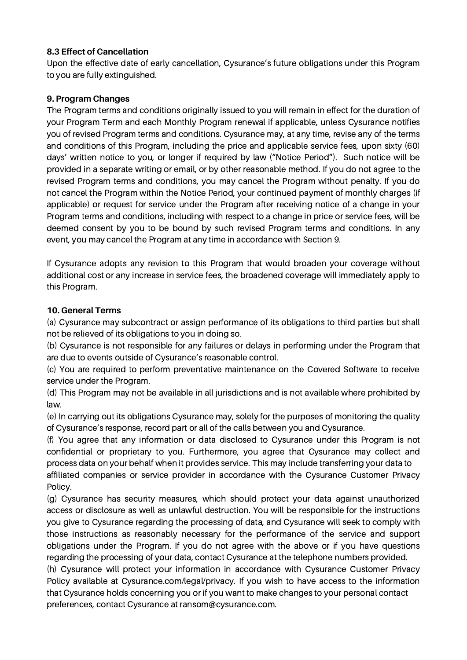## **8.3 Effect of Cancellation**

Upon the effective date of early cancellation, Cysurance's future obligations under this Program to you are fully extinguished.

## **9. Program Changes**

The Program terms and conditions originally issued to you will remain in effect for the duration of your Program Term and each Monthly Program renewal if applicable, unless Cysurance notifies you of revised Program terms and conditions. Cysurance may, at any time, revise any of the terms and conditions of this Program, including the price and applicable service fees, upon sixty (60) days' written notice to you, or longer if required by law ("Notice Period"). Such notice will be provided in a separate writing or email, or by other reasonable method. If you do not agree to the revised Program terms and conditions, you may cancel the Program without penalty. If you do not cancel the Program within the Notice Period, your continued payment of monthly charges (if applicable) or request for service under the Program after receiving notice of a change in your Program terms and conditions, including with respect to a change in price or service fees, will be deemed consent by you to be bound by such revised Program terms and conditions. In any event, you may cancel the Program at any time in accordance with Section 9.

If Cysurance adopts any revision to this Program that would broaden your coverage without additional cost or any increase in service fees, the broadened coverage will immediately apply to this Program.

## **10. General Terms**

(a) Cysurance may subcontract or assign performance of its obligations to third parties but shall not be relieved of its obligations to you in doing so.

(b) Cysurance is not responsible for any failures or delays in performing under the Program that are due to events outside of Cysurance's reasonable control.

(c) You are required to perform preventative maintenance on the Covered Software to receive service under the Program.

(d) This Program may not be available in all jurisdictions and is not available where prohibited by law.

(e) In carrying out its obligations Cysurance may, solely for the purposes of monitoring the quality of Cysurance's response, record part or all of the calls between you and Cysurance.

(f) You agree that any information or data disclosed to Cysurance under this Program is not confidential or proprietary to you. Furthermore, you agree that Cysurance may collect and process data on your behalf when it provides service. This may include transferring your data to affiliated companies or service provider in accordance with the Cysurance Customer Privacy Policy.

(g) Cysurance has security measures, which should protect your data against unauthorized access or disclosure as well as unlawful destruction. You will be responsible for the instructions you give to Cysurance regarding the processing of data, and Cysurance will seek to comply with those instructions as reasonably necessary for the performance of the service and support obligations under the Program. If you do not agree with the above or if you have questions regarding the processing of your data, contact Cysurance at the telephone numbers provided.

(h) Cysurance will protect your information in accordance with Cysurance Customer Privacy Policy available at Cysurance.com/legal/privacy. If you wish to have access to the information that Cysurance holds concerning you or if you want to make changes to your personal contact preferences, contact Cysurance at ransom@cysurance.com.